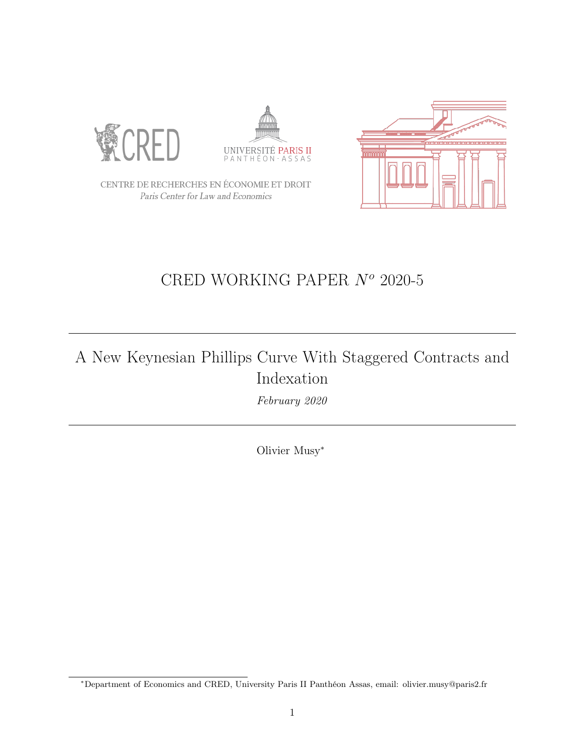





CENTRE DE RECHERCHES EN ÉCONOMIE ET DROIT Paris Center for Law and Economics

## CRED WORKING PAPER  $N^o$  2020-5

## A New Keynesian Phillips Curve With Staggered Contracts and Indexation

February 2020

Olivier Musy<sup>∗</sup>

<sup>∗</sup>Department of Economics and CRED, University Paris II Panthéon Assas, email: olivier.musy@paris2.fr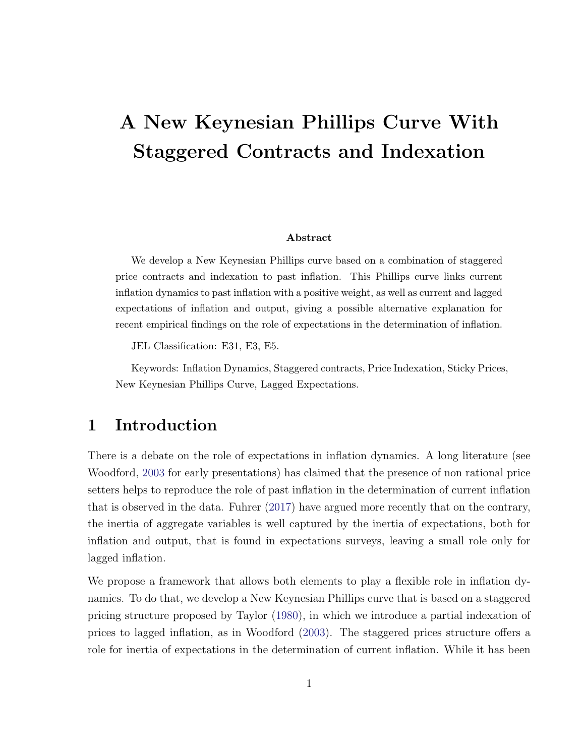# A New Keynesian Phillips Curve With Staggered Contracts and Indexation

#### Abstract

We develop a New Keynesian Phillips curve based on a combination of staggered price contracts and indexation to past inflation. This Phillips curve links current inflation dynamics to past inflation with a positive weight, as well as current and lagged expectations of inflation and output, giving a possible alternative explanation for recent empirical findings on the role of expectations in the determination of inflation.

JEL Classification: E31, E3, E5.

Keywords: Inflation Dynamics, Staggered contracts, Price Indexation, Sticky Prices, New Keynesian Phillips Curve, Lagged Expectations.

### 1 Introduction

There is a debate on the role of expectations in inflation dynamics. A long literature (see Woodford, 2003 for early presentations) has claimed that the presence of non rational price setters helps to reproduce the role of past inflation in the determination of current inflation that is observed in the data. Fuhrer (2017) have argued more recently that on the contrary, the inertia of aggregate variables is well captured by the inertia of expectations, both for inflation and output, that is found in expectations surveys, leaving a small role only for lagged inflation.

We propose a framework that allows both elements to play a flexible role in inflation dynamics. To do that, we develop a New Keynesian Phillips curve that is based on a staggered pricing structure proposed by Taylor (1980), in which we introduce a partial indexation of prices to lagged inflation, as in Woodford (2003). The staggered prices structure offers a role for inertia of expectations in the determination of current inflation. While it has been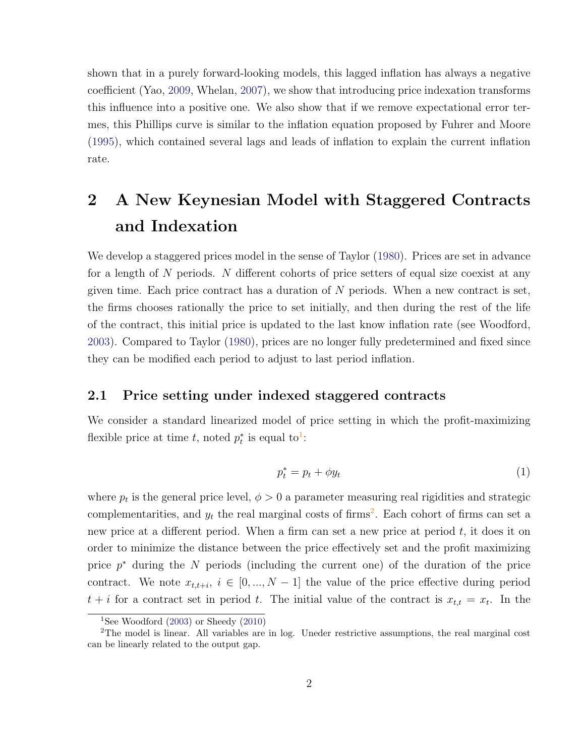shown that in a purely forward-looking models, this lagged inflation has always a negative coefficient (Yao, 2009, Whelan, 2007), we show that introducing price indexation transforms this influence into a positive one. We also show that if we remove expectational error termes, this Phillips curve is similar to the inflation equation proposed by Fuhrer and Moore (1995), which contained several lags and leads of inflation to explain the current inflation rate.

## 2 A New Keynesian Model with Staggered Contracts and Indexation

We develop a staggered prices model in the sense of Taylor (1980). Prices are set in advance for a length of N periods. N different cohorts of price setters of equal size coexist at any given time. Each price contract has a duration of  $N$  periods. When a new contract is set, the firms chooses rationally the price to set initially, and then during the rest of the life of the contract, this initial price is updated to the last know inflation rate (see Woodford, 2003). Compared to Taylor (1980), prices are no longer fully predetermined and fixed since they can be modified each period to adjust to last period inflation.

#### 2.1 Price setting under indexed staggered contracts

We consider a standard linearized model of price setting in which the profit-maximizing flexible price at time t, noted  $p_t^*$  is equal to<sup>1</sup>:

$$
p_t^* = p_t + \phi y_t \tag{1}
$$

where  $p_t$  is the general price level,  $\phi > 0$  a parameter measuring real rigidities and strategic complementarities, and  $y_t$  the real marginal costs of firms<sup>2</sup>. Each cohort of firms can set a new price at a different period. When a firm can set a new price at period t, it does it on order to minimize the distance between the price effectively set and the profit maximizing price  $p^*$  during the N periods (including the current one) of the duration of the price contract. We note  $x_{t,t+i}, i \in [0, ..., N-1]$  the value of the price effective during period  $t + i$  for a contract set in period t. The initial value of the contract is  $x_{t,t} = x_t$ . In the

<sup>&</sup>lt;sup>1</sup>See Woodford  $(2003)$  or Sheedy  $(2010)$ 

<sup>2</sup>The model is linear. All variables are in log. Uneder restrictive assumptions, the real marginal cost can be linearly related to the output gap.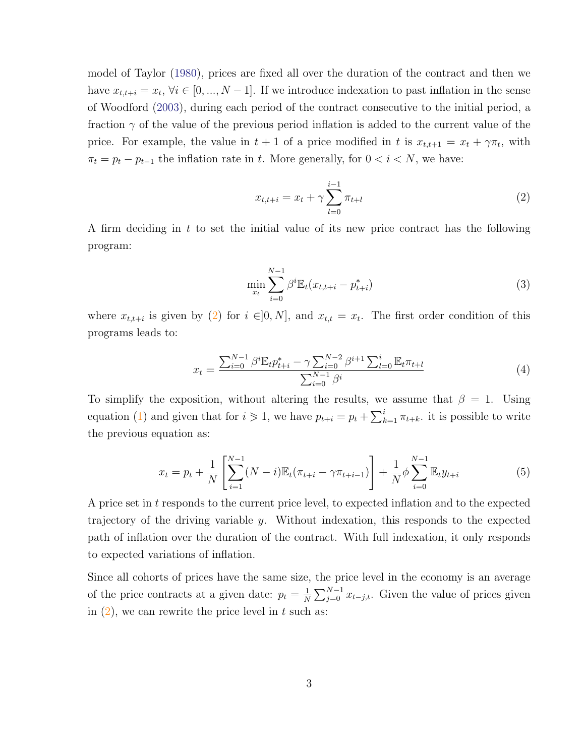model of Taylor (1980), prices are fixed all over the duration of the contract and then we have  $x_{t,t+i} = x_t, \forall i \in [0, ..., N-1]$ . If we introduce indexation to past inflation in the sense of Woodford (2003), during each period of the contract consecutive to the initial period, a fraction  $\gamma$  of the value of the previous period inflation is added to the current value of the price. For example, the value in  $t + 1$  of a price modified in t is  $x_{t,t+1} = x_t + \gamma \pi_t$ , with  $\pi_t = p_t - p_{t-1}$  the inflation rate in t. More generally, for  $0 < i < N$ , we have:

$$
x_{t,t+i} = x_t + \gamma \sum_{l=0}^{i-1} \pi_{t+l} \tag{2}
$$

A firm deciding in t to set the initial value of its new price contract has the following program:

$$
\min_{x_t} \sum_{i=0}^{N-1} \beta^i \mathbb{E}_t(x_{t,t+i} - p_{t+i}^*)
$$
\n(3)

where  $x_{t,t+i}$  is given by (2) for  $i \in ]0,N]$ , and  $x_{t,t} = x_t$ . The first order condition of this programs leads to:

$$
x_{t} = \frac{\sum_{i=0}^{N-1} \beta^{i} \mathbb{E}_{t} p_{t+i}^{*} - \gamma \sum_{i=0}^{N-2} \beta^{i+1} \sum_{l=0}^{i} \mathbb{E}_{t} \pi_{t+l}}{\sum_{i=0}^{N-1} \beta^{i}}
$$
(4)

To simplify the exposition, without altering the results, we assume that  $\beta = 1$ . Using equation (1) and given that for  $i \geq 1$ , we have  $p_{t+i} = p_t + \sum_{k=1}^{i} \pi_{t+k}$ . it is possible to write the previous equation as:

$$
x_t = p_t + \frac{1}{N} \left[ \sum_{i=1}^{N-1} (N-i) \mathbb{E}_t (\pi_{t+i} - \gamma \pi_{t+i-1}) \right] + \frac{1}{N} \phi \sum_{i=0}^{N-1} \mathbb{E}_t y_{t+i}
$$
(5)

A price set in t responds to the current price level, to expected inflation and to the expected trajectory of the driving variable y. Without indexation, this responds to the expected path of inflation over the duration of the contract. With full indexation, it only responds to expected variations of inflation.

Since all cohorts of prices have the same size, the price level in the economy is an average of the price contracts at a given date:  $p_t = \frac{1}{N}$  $\frac{1}{N} \sum_{j=0}^{N-1} x_{t-j,t}$ . Given the value of prices given in  $(2)$ , we can rewrite the price level in t such as: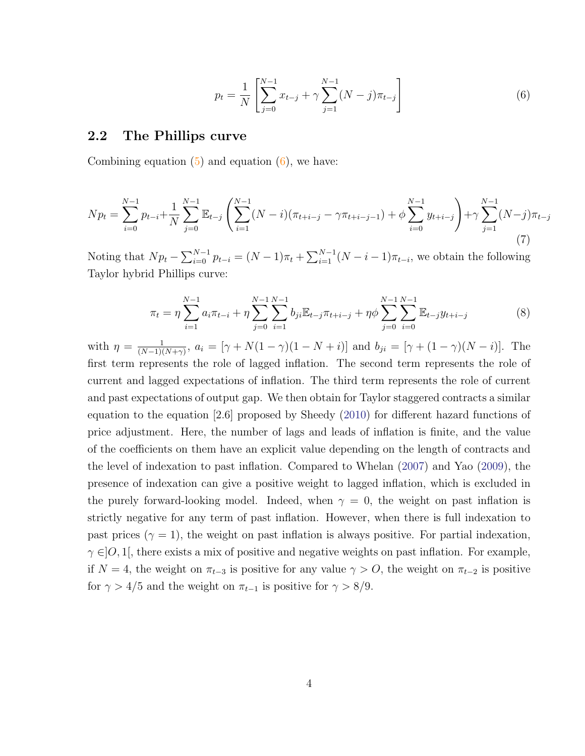$$
p_t = \frac{1}{N} \left[ \sum_{j=0}^{N-1} x_{t-j} + \gamma \sum_{j=1}^{N-1} (N-j) \pi_{t-j} \right]
$$
 (6)

#### 2.2 The Phillips curve

Combining equation  $(5)$  and equation  $(6)$ , we have:

$$
N p_t = \sum_{i=0}^{N-1} p_{t-i} + \frac{1}{N} \sum_{j=0}^{N-1} \mathbb{E}_{t-j} \left( \sum_{i=1}^{N-1} (N-i)(\pi_{t+i-j} - \gamma \pi_{t+i-j-1}) + \phi \sum_{i=0}^{N-1} y_{t+i-j} \right) + \gamma \sum_{j=1}^{N-1} (N-j)\pi_{t-j}
$$
\n(7)

Noting that  $Np_t - \sum_{i=0}^{N-1} p_{t-i} = (N-1)\pi_t + \sum_{i=1}^{N-1} (N-i-1)\pi_{t-i}$ , we obtain the following Taylor hybrid Phillips curve:

$$
\pi_t = \eta \sum_{i=1}^{N-1} a_i \pi_{t-i} + \eta \sum_{j=0}^{N-1} \sum_{i=1}^{N-1} b_{ji} \mathbb{E}_{t-j} \pi_{t+i-j} + \eta \phi \sum_{j=0}^{N-1} \sum_{i=0}^{N-1} \mathbb{E}_{t-j} y_{t+i-j}
$$
(8)

with  $\eta = \frac{1}{(N-1)!}$  $\frac{1}{(N-1)(N+\gamma)}$ ,  $a_i = [\gamma + N(1-\gamma)(1-N+i)]$  and  $b_{ji} = [\gamma + (1-\gamma)(N-i)]$ . The first term represents the role of lagged inflation. The second term represents the role of current and lagged expectations of inflation. The third term represents the role of current and past expectations of output gap. We then obtain for Taylor staggered contracts a similar equation to the equation [2.6] proposed by Sheedy (2010) for different hazard functions of price adjustment. Here, the number of lags and leads of inflation is finite, and the value of the coefficients on them have an explicit value depending on the length of contracts and the level of indexation to past inflation. Compared to Whelan (2007) and Yao (2009), the presence of indexation can give a positive weight to lagged inflation, which is excluded in the purely forward-looking model. Indeed, when  $\gamma = 0$ , the weight on past inflation is strictly negative for any term of past inflation. However, when there is full indexation to past prices ( $\gamma = 1$ ), the weight on past inflation is always positive. For partial indexation,  $\gamma \in ]0,1[$ , there exists a mix of positive and negative weights on past inflation. For example, if  $N = 4$ , the weight on  $\pi_{t-3}$  is positive for any value  $\gamma > 0$ , the weight on  $\pi_{t-2}$  is positive for  $\gamma > 4/5$  and the weight on  $\pi_{t-1}$  is positive for  $\gamma > 8/9$ .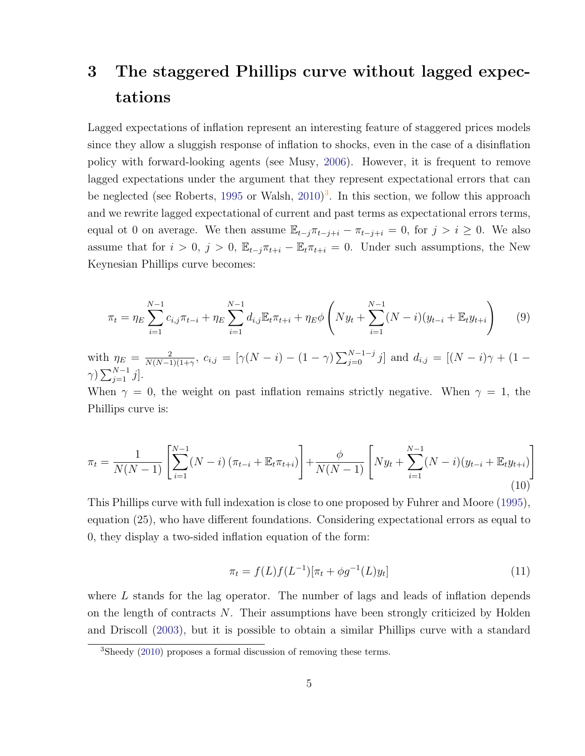## 3 The staggered Phillips curve without lagged expectations

Lagged expectations of inflation represent an interesting feature of staggered prices models since they allow a sluggish response of inflation to shocks, even in the case of a disinflation policy with forward-looking agents (see Musy, 2006). However, it is frequent to remove lagged expectations under the argument that they represent expectational errors that can be neglected (see Roberts, 1995 or Walsh, 2010)<sup>3</sup>. In this section, we follow this approach and we rewrite lagged expectational of current and past terms as expectational errors terms, equal ot 0 on average. We then assume  $\mathbb{E}_{t-j} \pi_{t-j+i} - \pi_{t-j+i} = 0$ , for  $j > i \geq 0$ . We also assume that for  $i > 0$ ,  $j > 0$ ,  $\mathbb{E}_{t-j} \pi_{t+i} - \mathbb{E}_{t} \pi_{t+i} = 0$ . Under such assumptions, the New Keynesian Phillips curve becomes:

$$
\pi_t = \eta_E \sum_{i=1}^{N-1} c_{i,j} \pi_{t-i} + \eta_E \sum_{i=1}^{N-1} d_{i,j} \mathbb{E}_t \pi_{t+i} + \eta_E \phi \left( N y_t + \sum_{i=1}^{N-1} (N-i) (y_{t-i} + \mathbb{E}_t y_{t+i}) \right) \tag{9}
$$

with  $\eta_E = \frac{2}{N(N-1)}$  $\frac{2}{N(N-1)(1+\gamma)}$ ,  $c_{i,j} = [\gamma(N-i)-(1-\gamma)\sum_{j=0}^{N-1-j}j]$  and  $d_{i,j} = [(N-i)\gamma+(1-i)]$  $\gamma)$   $\sum_{j=1}^{N-1} j$ .

When  $\gamma = 0$ , the weight on past inflation remains strictly negative. When  $\gamma = 1$ , the Phillips curve is:

$$
\pi_t = \frac{1}{N(N-1)} \left[ \sum_{i=1}^{N-1} (N-i) \left( \pi_{t-i} + \mathbb{E}_t \pi_{t+i} \right) \right] + \frac{\phi}{N(N-1)} \left[ N y_t + \sum_{i=1}^{N-1} (N-i) \left( y_{t-i} + \mathbb{E}_t y_{t+i} \right) \right] \tag{10}
$$

This Phillips curve with full indexation is close to one proposed by Fuhrer and Moore (1995), equation (25), who have different foundations. Considering expectational errors as equal to 0, they display a two-sided inflation equation of the form:

$$
\pi_t = f(L)f(L^{-1})[\pi_t + \phi g^{-1}(L)y_t]
$$
\n(11)

where L stands for the lag operator. The number of lags and leads of inflation depends on the length of contracts N. Their assumptions have been strongly criticized by Holden and Driscoll (2003), but it is possible to obtain a similar Phillips curve with a standard

<sup>3</sup>Sheedy (2010) proposes a formal discussion of removing these terms.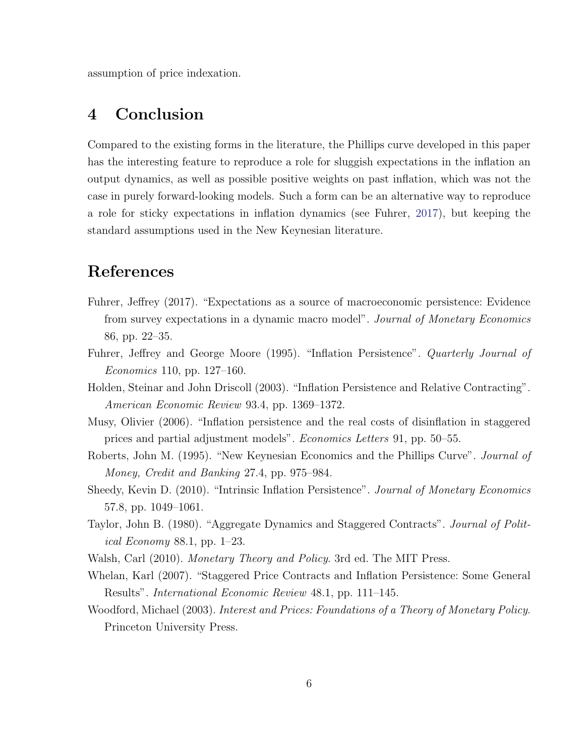assumption of price indexation.

### 4 Conclusion

Compared to the existing forms in the literature, the Phillips curve developed in this paper has the interesting feature to reproduce a role for sluggish expectations in the inflation an output dynamics, as well as possible positive weights on past inflation, which was not the case in purely forward-looking models. Such a form can be an alternative way to reproduce a role for sticky expectations in inflation dynamics (see Fuhrer, 2017), but keeping the standard assumptions used in the New Keynesian literature.

### References

- Fuhrer, Jeffrey (2017). "Expectations as a source of macroeconomic persistence: Evidence from survey expectations in a dynamic macro model". Journal of Monetary Economics 86, pp. 22–35.
- Fuhrer, Jeffrey and George Moore (1995). "Inflation Persistence". *Quarterly Journal of* Economics 110, pp. 127–160.
- Holden, Steinar and John Driscoll (2003). "Inflation Persistence and Relative Contracting". American Economic Review 93.4, pp. 1369–1372.
- Musy, Olivier (2006). "Inflation persistence and the real costs of disinflation in staggered prices and partial adjustment models". Economics Letters 91, pp. 50–55.
- Roberts, John M. (1995). "New Keynesian Economics and the Phillips Curve". Journal of Money, Credit and Banking 27.4, pp. 975–984.
- Sheedy, Kevin D. (2010). "Intrinsic Inflation Persistence". Journal of Monetary Economics 57.8, pp. 1049–1061.
- Taylor, John B. (1980). "Aggregate Dynamics and Staggered Contracts". Journal of Political Economy 88.1, pp. 1–23.
- Walsh, Carl (2010). Monetary Theory and Policy. 3rd ed. The MIT Press.
- Whelan, Karl (2007). "Staggered Price Contracts and Inflation Persistence: Some General Results". International Economic Review 48.1, pp. 111–145.
- Woodford, Michael (2003). Interest and Prices: Foundations of a Theory of Monetary Policy. Princeton University Press.